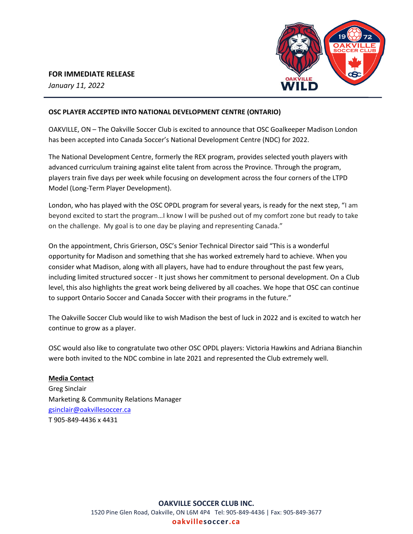## **FOR IMMEDIATE RELEASE**

*January 11, 2022*



### **OSC PLAYER ACCEPTED INTO NATIONAL DEVELOPMENT CENTRE (ONTARIO)**

OAKVILLE, ON – The Oakville Soccer Club is excited to announce that OSC Goalkeeper Madison London has been accepted into Canada Soccer's National Development Centre (NDC) for 2022.

The National Development Centre, formerly the REX program, provides selected youth players with advanced curriculum training against elite talent from across the Province. Through the program, players train five days per week while focusing on development across the four corners of the LTPD Model (Long-Term Player Development).

London, who has played with the OSC OPDL program for several years, is ready for the next step, "I am beyond excited to start the program…I know I will be pushed out of my comfort zone but ready to take on the challenge. My goal is to one day be playing and representing Canada."

On the appointment, Chris Grierson, OSC's Senior Technical Director said "This is a wonderful opportunity for Madison and something that she has worked extremely hard to achieve. When you consider what Madison, along with all players, have had to endure throughout the past few years, including limited structured soccer - It just shows her commitment to personal development. On a Club level, this also highlights the great work being delivered by all coaches. We hope that OSC can continue to support Ontario Soccer and Canada Soccer with their programs in the future."

The Oakville Soccer Club would like to wish Madison the best of luck in 2022 and is excited to watch her continue to grow as a player.

OSC would also like to congratulate two other OSC OPDL players: Victoria Hawkins and Adriana Bianchin were both invited to the NDC combine in late 2021 and represented the Club extremely well.

## **Media Contact**

Greg Sinclair Marketing & Community Relations Manager [gsinclair@oakvillesoccer.ca](mailto:gsinclair@oakvillesoccer.ca) T 905-849-4436 x 4431